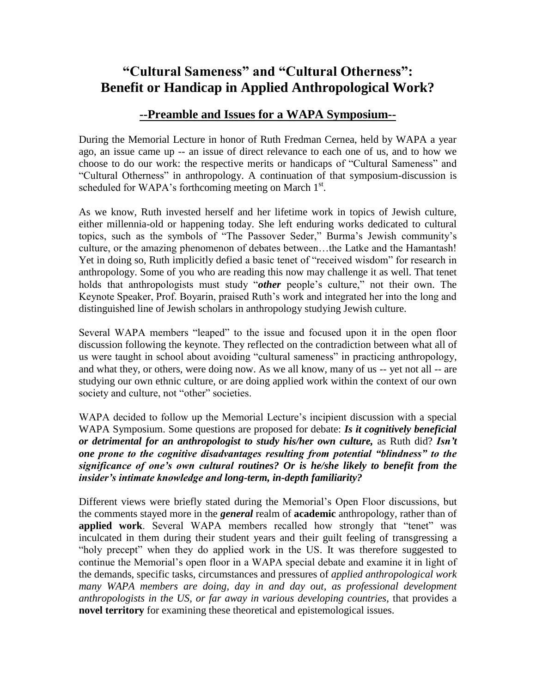## **"Cultural Sameness" and "Cultural Otherness": Benefit or Handicap in Applied Anthropological Work?**

## **--Preamble and Issues for a WAPA Symposium--**

During the Memorial Lecture in honor of Ruth Fredman Cernea, held by WAPA a year ago, an issue came up -- an issue of direct relevance to each one of us, and to how we choose to do our work: the respective merits or handicaps of "Cultural Sameness" and "Cultural Otherness" in anthropology. A continuation of that symposium-discussion is scheduled for WAPA's forthcoming meeting on March  $1<sup>st</sup>$ .

As we know, Ruth invested herself and her lifetime work in topics of Jewish culture, either millennia-old or happening today. She left enduring works dedicated to cultural topics, such as the symbols of "The Passover Seder," Burma's Jewish community's culture, or the amazing phenomenon of debates between…the Latke and the Hamantash! Yet in doing so, Ruth implicitly defied a basic tenet of "received wisdom" for research in anthropology. Some of you who are reading this now may challenge it as well. That tenet holds that anthropologists must study "*other* people's culture," not their own. The Keynote Speaker, Prof. Boyarin, praised Ruth's work and integrated her into the long and distinguished line of Jewish scholars in anthropology studying Jewish culture.

Several WAPA members "leaped" to the issue and focused upon it in the open floor discussion following the keynote. They reflected on the contradiction between what all of us were taught in school about avoiding "cultural sameness" in practicing anthropology, and what they, or others, were doing now. As we all know, many of us -- yet not all -- are studying our own ethnic culture, or are doing applied work within the context of our own society and culture, not "other" societies.

WAPA decided to follow up the Memorial Lecture's incipient discussion with a special WAPA Symposium. Some questions are proposed for debate: *Is it cognitively beneficial or detrimental for an anthropologist to study his/her own culture,* as Ruth did? *Isn't one prone to the cognitive disadvantages resulting from potential "blindness" to the significance of one's own cultural routines? Or is he/she likely to benefit from the insider's intimate knowledge and long-term, in-depth familiarity?* 

Different views were briefly stated during the Memorial's Open Floor discussions, but the comments stayed more in the *general* realm of **academic** anthropology, rather than of **applied work**. Several WAPA members recalled how strongly that "tenet" was inculcated in them during their student years and their guilt feeling of transgressing a "holy precept" when they do applied work in the US. It was therefore suggested to continue the Memorial's open floor in a WAPA special debate and examine it in light of the demands, specific tasks, circumstances and pressures of *applied anthropological work many WAPA members are doing, day in and day out, as professional development anthropologists in the US, or far away in various developing countries,* that provides a **novel territory** for examining these theoretical and epistemological issues.